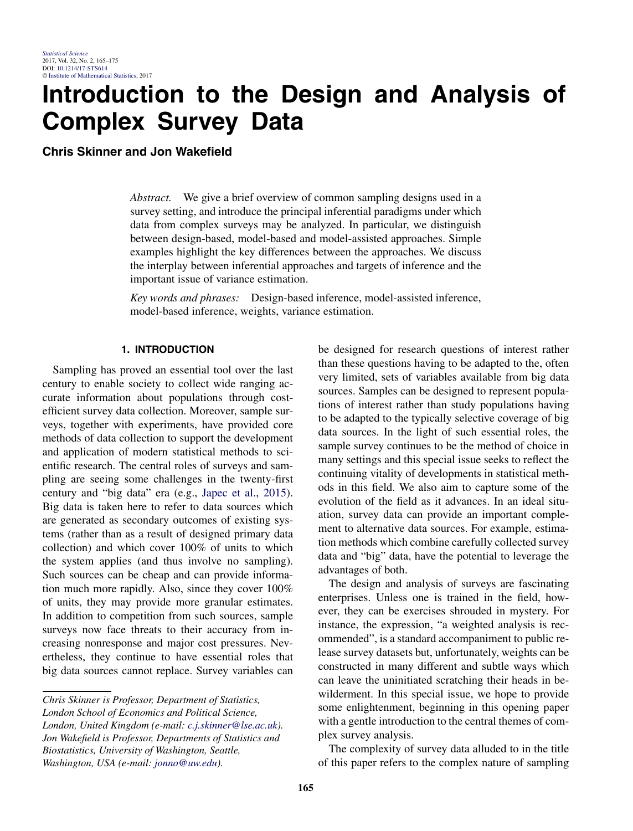# <span id="page-0-0"></span>**Introduction to the Design and Analysis of Complex Survey Data**

**Chris Skinner and Jon Wakefield**

*Abstract.* We give a brief overview of common sampling designs used in a survey setting, and introduce the principal inferential paradigms under which data from complex surveys may be analyzed. In particular, we distinguish between design-based, model-based and model-assisted approaches. Simple examples highlight the key differences between the approaches. We discuss the interplay between inferential approaches and targets of inference and the important issue of variance estimation.

*Key words and phrases:* Design-based inference, model-assisted inference, model-based inference, weights, variance estimation.

## **1. INTRODUCTION**

Sampling has proved an essential tool over the last century to enable society to collect wide ranging accurate information about populations through costefficient survey data collection. Moreover, sample surveys, together with experiments, have provided core methods of data collection to support the development and application of modern statistical methods to scientific research. The central roles of surveys and sampling are seeing some challenges in the twenty-first century and "big data" era (e.g., [Japec et al.,](#page-10-0) [2015\)](#page-10-0). Big data is taken here to refer to data sources which are generated as secondary outcomes of existing systems (rather than as a result of designed primary data collection) and which cover 100% of units to which the system applies (and thus involve no sampling). Such sources can be cheap and can provide information much more rapidly. Also, since they cover 100% of units, they may provide more granular estimates. In addition to competition from such sources, sample surveys now face threats to their accuracy from increasing nonresponse and major cost pressures. Nevertheless, they continue to have essential roles that big data sources cannot replace. Survey variables can be designed for research questions of interest rather than these questions having to be adapted to the, often very limited, sets of variables available from big data sources. Samples can be designed to represent populations of interest rather than study populations having to be adapted to the typically selective coverage of big data sources. In the light of such essential roles, the sample survey continues to be the method of choice in many settings and this special issue seeks to reflect the continuing vitality of developments in statistical methods in this field. We also aim to capture some of the evolution of the field as it advances. In an ideal situation, survey data can provide an important complement to alternative data sources. For example, estimation methods which combine carefully collected survey data and "big" data, have the potential to leverage the advantages of both.

The design and analysis of surveys are fascinating enterprises. Unless one is trained in the field, however, they can be exercises shrouded in mystery. For instance, the expression, "a weighted analysis is recommended", is a standard accompaniment to public release survey datasets but, unfortunately, weights can be constructed in many different and subtle ways which can leave the uninitiated scratching their heads in bewilderment. In this special issue, we hope to provide some enlightenment, beginning in this opening paper with a gentle introduction to the central themes of complex survey analysis.

The complexity of survey data alluded to in the title of this paper refers to the complex nature of sampling

*Chris Skinner is Professor, Department of Statistics, London School of Economics and Political Science, London, United Kingdom (e-mail: [c.j.skinner@lse.ac.uk](mailto:c.j.skinner@lse.ac.uk)). Jon Wakefield is Professor, Departments of Statistics and Biostatistics, University of Washington, Seattle, Washington, USA (e-mail: [jonno@uw.edu](mailto:jonno@uw.edu)).*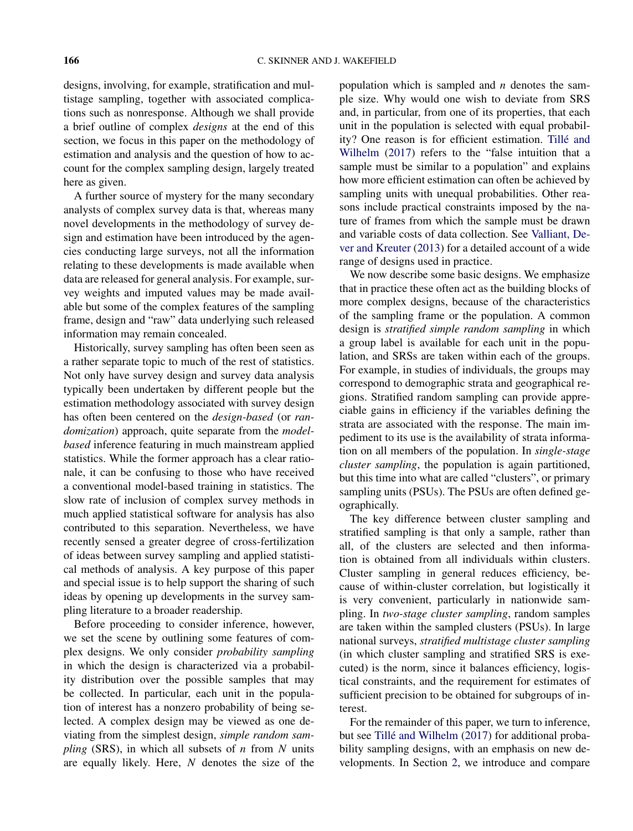designs, involving, for example, stratification and multistage sampling, together with associated complications such as nonresponse. Although we shall provide a brief outline of complex *designs* at the end of this section, we focus in this paper on the methodology of estimation and analysis and the question of how to account for the complex sampling design, largely treated here as given.

A further source of mystery for the many secondary analysts of complex survey data is that, whereas many novel developments in the methodology of survey design and estimation have been introduced by the agencies conducting large surveys, not all the information relating to these developments is made available when data are released for general analysis. For example, survey weights and imputed values may be made available but some of the complex features of the sampling frame, design and "raw" data underlying such released information may remain concealed.

Historically, survey sampling has often been seen as a rather separate topic to much of the rest of statistics. Not only have survey design and survey data analysis typically been undertaken by different people but the estimation methodology associated with survey design has often been centered on the *design-based* (or *randomization*) approach, quite separate from the *modelbased* inference featuring in much mainstream applied statistics. While the former approach has a clear rationale, it can be confusing to those who have received a conventional model-based training in statistics. The slow rate of inclusion of complex survey methods in much applied statistical software for analysis has also contributed to this separation. Nevertheless, we have recently sensed a greater degree of cross-fertilization of ideas between survey sampling and applied statistical methods of analysis. A key purpose of this paper and special issue is to help support the sharing of such ideas by opening up developments in the survey sampling literature to a broader readership.

Before proceeding to consider inference, however, we set the scene by outlining some features of complex designs. We only consider *probability sampling* in which the design is characterized via a probability distribution over the possible samples that may be collected. In particular, each unit in the population of interest has a nonzero probability of being selected. A complex design may be viewed as one deviating from the simplest design, *simple random sampling* (SRS), in which all subsets of *n* from *N* units are equally likely. Here, *N* denotes the size of the

population which is sampled and *n* denotes the sample size. Why would one wish to deviate from SRS and, in particular, from one of its properties, that each unit in the population is selected with equal probability? One reason is for efficient estimation. [Tillé and](#page-10-0) [Wilhelm](#page-10-0) [\(2017\)](#page-10-0) refers to the "false intuition that a sample must be similar to a population" and explains how more efficient estimation can often be achieved by sampling units with unequal probabilities. Other reasons include practical constraints imposed by the nature of frames from which the sample must be drawn and variable costs of data collection. See [Valliant, De](#page-10-0)[ver and Kreuter](#page-10-0) [\(2013\)](#page-10-0) for a detailed account of a wide range of designs used in practice.

We now describe some basic designs. We emphasize that in practice these often act as the building blocks of more complex designs, because of the characteristics of the sampling frame or the population. A common design is *stratified simple random sampling* in which a group label is available for each unit in the population, and SRSs are taken within each of the groups. For example, in studies of individuals, the groups may correspond to demographic strata and geographical regions. Stratified random sampling can provide appreciable gains in efficiency if the variables defining the strata are associated with the response. The main impediment to its use is the availability of strata information on all members of the population. In *single-stage cluster sampling*, the population is again partitioned, but this time into what are called "clusters", or primary sampling units (PSUs). The PSUs are often defined geographically.

The key difference between cluster sampling and stratified sampling is that only a sample, rather than all, of the clusters are selected and then information is obtained from all individuals within clusters. Cluster sampling in general reduces efficiency, because of within-cluster correlation, but logistically it is very convenient, particularly in nationwide sampling. In *two-stage cluster sampling*, random samples are taken within the sampled clusters (PSUs). In large national surveys, *stratified multistage cluster sampling* (in which cluster sampling and stratified SRS is executed) is the norm, since it balances efficiency, logistical constraints, and the requirement for estimates of sufficient precision to be obtained for subgroups of interest.

For the remainder of this paper, we turn to inference, but see [Tillé and Wilhelm](#page-10-0) [\(2017\)](#page-10-0) for additional probability sampling designs, with an emphasis on new developments. In Section [2,](#page-2-0) we introduce and compare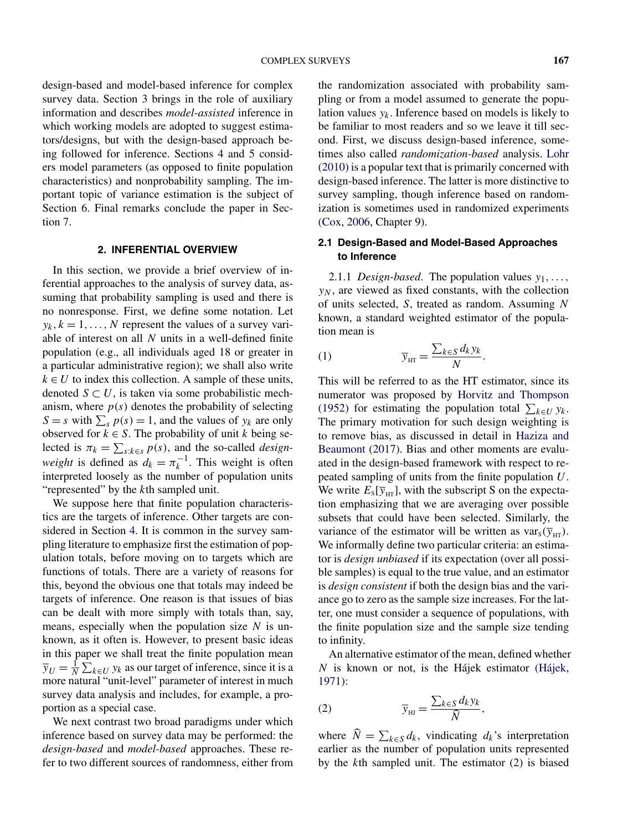<span id="page-2-0"></span>design-based and model-based inference for complex survey data. Section [3](#page-5-0) brings in the role of auxiliary information and describes *model-assisted* inference in which working models are adopted to suggest estimators/designs, but with the design-based approach being followed for inference. Sections [4](#page-7-0) and [5](#page-8-0) considers model parameters (as opposed to finite population characteristics) and nonprobability sampling. The important topic of variance estimation is the subject of Section [6.](#page-8-0) Final remarks conclude the paper in Section [7.](#page-9-0)

#### **2. INFERENTIAL OVERVIEW**

In this section, we provide a brief overview of inferential approaches to the analysis of survey data, assuming that probability sampling is used and there is no nonresponse. First, we define some notation. Let  $y_k, k = 1, \ldots, N$  represent the values of a survey variable of interest on all *N* units in a well-defined finite population (e.g., all individuals aged 18 or greater in a particular administrative region); we shall also write  $k \in U$  to index this collection. A sample of these units, denoted  $S \subset U$ , is taken via some probabilistic mechanism, where  $p(s)$  denotes the probability of selecting  $S = s$  with  $\sum_{s} p(s) = 1$ , and the values of  $y_k$  are only observed for  $k \in S$ . The probability of unit  $k$  being selected is  $\pi_k = \sum_{s:k \in \mathcal{S}} p(s)$ , and the so-called *designweight* is defined as  $d_k = \pi_k^{-1}$ . This weight is often interpreted loosely as the number of population units "represented" by the *k*th sampled unit.

We suppose here that finite population characteristics are the targets of inference. Other targets are considered in Section [4.](#page-7-0) It is common in the survey sampling literature to emphasize first the estimation of population totals, before moving on to targets which are functions of totals. There are a variety of reasons for this, beyond the obvious one that totals may indeed be targets of inference. One reason is that issues of bias can be dealt with more simply with totals than, say, means, especially when the population size *N* is unknown, as it often is. However, to present basic ideas in this paper we shall treat the finite population mean  $\overline{y}_U = \frac{1}{N} \sum_{k \in U} y_k$  as our target of inference, since it is a more natural "unit-level" parameter of interest in much survey data analysis and includes, for example, a proportion as a special case.

We next contrast two broad paradigms under which inference based on survey data may be performed: the *design-based* and *model-based* approaches. These refer to two different sources of randomness, either from

the randomization associated with probability sampling or from a model assumed to generate the population values *yk*. Inference based on models is likely to be familiar to most readers and so we leave it till second. First, we discuss design-based inference, sometimes also called *randomization-based* analysis. [Lohr](#page-10-0) [\(2010\)](#page-10-0) is a popular text that is primarily concerned with design-based inference. The latter is more distinctive to survey sampling, though inference based on randomization is sometimes used in randomized experiments [\(Cox,](#page-10-0) [2006,](#page-10-0) Chapter 9).

## **2.1 Design-Based and Model-Based Approaches to Inference**

2.1.1 *Design-based*. The population values *y*1*,...,*  $y_N$ , are viewed as fixed constants, with the collection of units selected, *S*, treated as random. Assuming *N* known, a standard weighted estimator of the population mean is

(1) 
$$
\overline{y}_{\text{HT}} = \frac{\sum_{k \in S} d_k y_k}{N}.
$$

This will be referred to as the HT estimator, since its numerator was proposed by [Horvitz and Thompson](#page-10-0) [\(1952\)](#page-10-0) for estimating the population total  $\sum_{k \in U} y_k$ . The primary motivation for such design weighting is to remove bias, as discussed in detail in [Haziza and](#page-10-0) [Beaumont](#page-10-0) [\(2017\)](#page-10-0). Bias and other moments are evaluated in the design-based framework with respect to repeated sampling of units from the finite population *U*. We write  $E_S[\overline{y}_{HT}]$ , with the subscript S on the expectation emphasizing that we are averaging over possible subsets that could have been selected. Similarly, the variance of the estimator will be written as  $var_s(\overline{y}_{\text{HT}})$ . We informally define two particular criteria: an estimator is *design unbiased* if its expectation (over all possible samples) is equal to the true value, and an estimator is *design consistent* if both the design bias and the variance go to zero as the sample size increases. For the latter, one must consider a sequence of populations, with the finite population size and the sample size tending to infinity.

An alternative estimator of the mean, defined whether *N* is known or not, is the Hájek estimator [\(Hájek,](#page-10-0) [1971\)](#page-10-0):

(2) 
$$
\overline{y}_{\text{HJ}} = \frac{\sum_{k \in S} d_k y_k}{\widehat{N}},
$$

where  $\widehat{N} = \sum_{k \in S} d_k$ , vindicating  $d_k$ 's interpretation earlier as the number of population units represented by the *k*th sampled unit. The estimator (2) is biased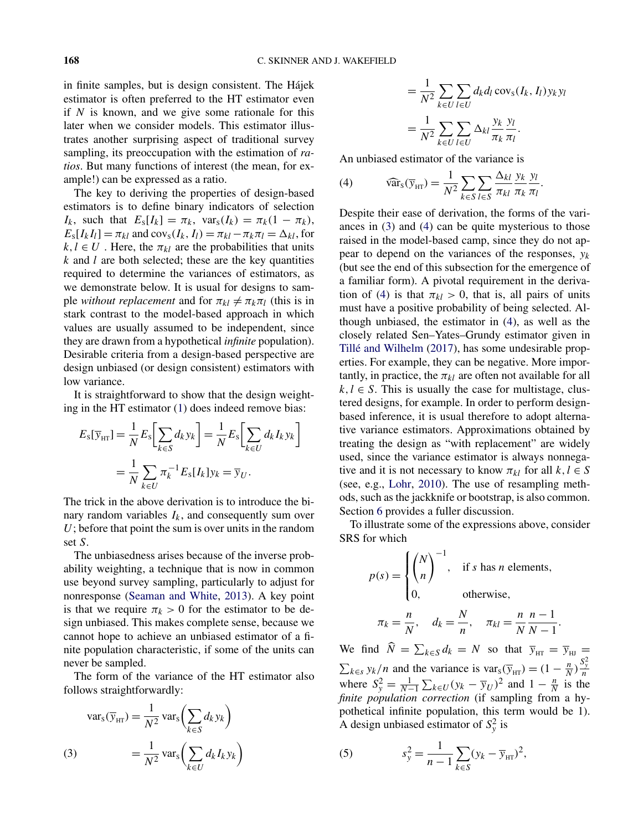<span id="page-3-0"></span>in finite samples, but is design consistent. The Hájek estimator is often preferred to the HT estimator even if *N* is known, and we give some rationale for this later when we consider models. This estimator illustrates another surprising aspect of traditional survey sampling, its preoccupation with the estimation of *ratios*. But many functions of interest (the mean, for example!) can be expressed as a ratio.

The key to deriving the properties of design-based estimators is to define binary indicators of selection  $I_k$ , such that  $E_s[I_k] = \pi_k$ , var<sub>s</sub> $(I_k) = \pi_k(1 - \pi_k)$ ,  $E_s[I_kI_l] = \pi_{kl}$  and  $cov_s(I_k, I_l) = \pi_{kl} - \pi_k\pi_l = \Delta_{kl}$ , for  $k, l \in U$ . Here, the  $\pi_{kl}$  are the probabilities that units *k* and *l* are both selected; these are the key quantities required to determine the variances of estimators, as we demonstrate below. It is usual for designs to sample *without replacement* and for  $\pi_{kl} \neq \pi_k \pi_l$  (this is in stark contrast to the model-based approach in which values are usually assumed to be independent, since they are drawn from a hypothetical *infinite* population). Desirable criteria from a design-based perspective are design unbiased (or design consistent) estimators with low variance.

It is straightforward to show that the design weighting in the HT estimator [\(1\)](#page-2-0) does indeed remove bias:

$$
E_{\rm S}[\overline{y}_{\rm HT}] = \frac{1}{N} E_{\rm S} \bigg[ \sum_{k \in S} d_k y_k \bigg] = \frac{1}{N} E_{\rm S} \bigg[ \sum_{k \in U} d_k I_k y_k \bigg]
$$

$$
= \frac{1}{N} \sum_{k \in U} \pi_k^{-1} E_{\rm S} [I_k] y_k = \overline{y}_U.
$$

The trick in the above derivation is to introduce the binary random variables  $I_k$ , and consequently sum over *U*; before that point the sum is over units in the random set *S*.

The unbiasedness arises because of the inverse probability weighting, a technique that is now in common use beyond survey sampling, particularly to adjust for nonresponse [\(Seaman and White,](#page-10-0) [2013\)](#page-10-0). A key point is that we require  $\pi_k > 0$  for the estimator to be design unbiased. This makes complete sense, because we cannot hope to achieve an unbiased estimator of a finite population characteristic, if some of the units can never be sampled.

The form of the variance of the HT estimator also follows straightforwardly:

$$
\begin{aligned} \text{var}_{\text{s}}(\overline{\mathbf{y}}_{\text{HT}}) &= \frac{1}{N^2} \, \text{var}_{\text{s}} \bigg( \sum_{k \in S} d_k \, y_k \bigg) \\ &= \frac{1}{N^2} \, \text{var}_{\text{s}} \bigg( \sum_{k \in U} d_k \, I_k \, y_k \bigg) \end{aligned}
$$

$$
= \frac{1}{N^2} \sum_{k \in U} \sum_{l \in U} d_k d_l \cos(I_k, I_l) y_k y_l
$$

$$
= \frac{1}{N^2} \sum_{k \in U} \sum_{l \in U} \Delta_{kl} \frac{y_k}{\pi_k} \frac{y_l}{\pi_l}.
$$

An unbiased estimator of the variance is

(4) 
$$
\widehat{\text{var}}_S(\overline{y}_{\text{HT}}) = \frac{1}{N^2} \sum_{k \in S} \sum_{l \in S} \frac{\Delta_{kl}}{\pi_{kl}} \frac{y_k}{\pi_k} \frac{y_l}{\pi_l}.
$$

Despite their ease of derivation, the forms of the variances in (3) and (4) can be quite mysterious to those raised in the model-based camp, since they do not appear to depend on the variances of the responses,  $y_k$ (but see the end of this subsection for the emergence of a familiar form). A pivotal requirement in the derivation of (4) is that  $\pi_{kl} > 0$ , that is, all pairs of units must have a positive probability of being selected. Although unbiased, the estimator in (4), as well as the closely related Sen–Yates–Grundy estimator given in [Tillé and Wilhelm](#page-10-0) [\(2017\)](#page-10-0), has some undesirable properties. For example, they can be negative. More importantly, in practice, the  $\pi_{kl}$  are often not available for all  $k, l \in S$ . This is usually the case for multistage, clustered designs, for example. In order to perform designbased inference, it is usual therefore to adopt alternative variance estimators. Approximations obtained by treating the design as "with replacement" are widely used, since the variance estimator is always nonnegative and it is not necessary to know  $\pi_{kl}$  for all  $k, l \in S$ (see, e.g., [Lohr,](#page-10-0) [2010\)](#page-10-0). The use of resampling methods, such as the jackknife or bootstrap, is also common. Section [6](#page-8-0) provides a fuller discussion.

To illustrate some of the expressions above, consider SRS for which

$$
p(s) = \begin{cases} \binom{N}{n}^{-1}, & \text{if } s \text{ has } n \text{ elements,} \\ 0, & \text{otherwise,} \end{cases}
$$

$$
\pi_k = \frac{n}{N}, \quad d_k = \frac{N}{n}, \quad \pi_{kl} = \frac{n}{N} \frac{n-1}{N-1}.
$$

We find  $\widehat{N} = \sum_{k \in S} d_k = N$  so that  $\overline{y}_{\text{HT}} = \overline{y}_{\text{HJ}} =$  $\sum_{k \in S} y_k/n$  and the variance is  $\text{var}_S(\overline{y}_{\text{HT}}) = (1 - \frac{n}{N}) \frac{S_y^2}{n}$ where  $S_y^2 = \frac{1}{N-1} \sum_{k \in U} (y_k - \overline{y}_U)^2$  and  $1 - \frac{n}{N}$  is the *finite population correction* (if sampling from a hypothetical infinite population, this term would be 1). A design unbiased estimator of  $S_y^2$  is

(5) 
$$
s_y^2 = \frac{1}{n-1} \sum_{k \in S} (y_k - \overline{y}_{\text{HT}})^2,
$$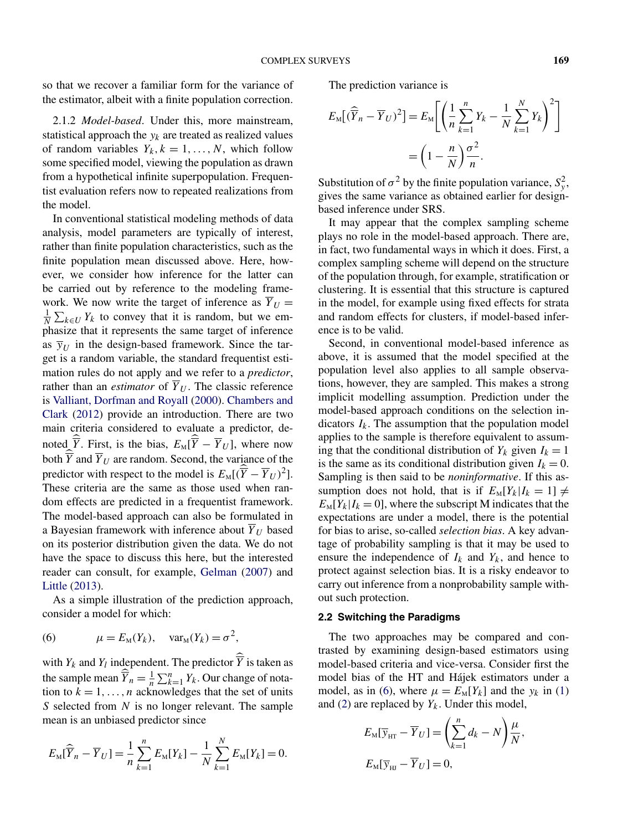<span id="page-4-0"></span>so that we recover a familiar form for the variance of the estimator, albeit with a finite population correction.

2.1.2 *Model-based*. Under this, more mainstream, statistical approach the  $y_k$  are treated as realized values of random variables  $Y_k$ ,  $k = 1, ..., N$ , which follow some specified model, viewing the population as drawn from a hypothetical infinite superpopulation. Frequentist evaluation refers now to repeated realizations from the model.

In conventional statistical modeling methods of data analysis, model parameters are typically of interest, rather than finite population characteristics, such as the finite population mean discussed above. Here, however, we consider how inference for the latter can be carried out by reference to the modeling framework. We now write the target of inference as  $\overline{Y}_U$  =  $\frac{1}{N} \sum_{k \in U} Y_k$  to convey that it is random, but we emphasize that it represents the same target of inference as  $\overline{y}_U$  in the design-based framework. Since the target is a random variable, the standard frequentist estimation rules do not apply and we refer to a *predictor*, rather than an *estimator* of  $\overline{Y}_U$ . The classic reference is [Valliant, Dorfman and Royall](#page-10-0) [\(2000\)](#page-10-0). [Chambers and](#page-10-0) [Clark](#page-10-0) [\(2012\)](#page-10-0) provide an introduction. There are two main criteria considered to evaluate a predictor, denoted *Y*. First, is the bias,  $E_M[Y - Y_U]$ , where now both  $\hat{\overline{Y}}$  and  $\overline{Y}_U$  are random. Second, the variance of the predictor with respect to the model is  $E_M[(\overline{Y} - \overline{Y}_U)^2]$ . These criteria are the same as those used when random effects are predicted in a frequentist framework. The model-based approach can also be formulated in a Bayesian framework with inference about  $\overline{Y}_U$  based on its posterior distribution given the data. We do not have the space to discuss this here, but the interested reader can consult, for example, [Gelman](#page-10-0) [\(2007\)](#page-10-0) and [Little](#page-10-0) [\(2013\)](#page-10-0).

As a simple illustration of the prediction approach, consider a model for which:

(6) 
$$
\mu = E_{\mathcal{M}}(Y_k), \quad \text{var}_{\mathcal{M}}(Y_k) = \sigma^2,
$$

with  $Y_k$  and  $Y_l$  independent. The predictor  $\widehat{Y}$  is taken as the sample mean  $\overline{Y}_n = \frac{1}{n} \sum_{k=1}^n Y_k$ . Our change of notation to  $k = 1, \ldots, n$  acknowledges that the set of units *S* selected from *N* is no longer relevant. The sample mean is an unbiased predictor since

$$
E_{\mathrm{M}}[\widehat{\overline{Y}}_n - \overline{Y}_U] = \frac{1}{n} \sum_{k=1}^n E_{\mathrm{M}}[Y_k] - \frac{1}{N} \sum_{k=1}^N E_{\mathrm{M}}[Y_k] = 0.
$$

The prediction variance is

$$
E_{\rm M}[(\widehat{Y}_n - \overline{Y}_U)^2] = E_{\rm M} \left[ \left( \frac{1}{n} \sum_{k=1}^n Y_k - \frac{1}{N} \sum_{k=1}^N Y_k \right)^2 \right]
$$

$$
= \left( 1 - \frac{n}{N} \right) \frac{\sigma^2}{n}.
$$

Substitution of  $\sigma^2$  by the finite population variance,  $S_y^2$ , gives the same variance as obtained earlier for designbased inference under SRS.

It may appear that the complex sampling scheme plays no role in the model-based approach. There are, in fact, two fundamental ways in which it does. First, a complex sampling scheme will depend on the structure of the population through, for example, stratification or clustering. It is essential that this structure is captured in the model, for example using fixed effects for strata and random effects for clusters, if model-based inference is to be valid.

Second, in conventional model-based inference as above, it is assumed that the model specified at the population level also applies to all sample observations, however, they are sampled. This makes a strong implicit modelling assumption. Prediction under the model-based approach conditions on the selection indicators  $I_k$ . The assumption that the population model applies to the sample is therefore equivalent to assuming that the conditional distribution of  $Y_k$  given  $I_k = 1$ is the same as its conditional distribution given  $I_k = 0$ . Sampling is then said to be *noninformative*. If this assumption does not hold, that is if  $E_M[Y_k|I_k=1] \neq$  $E_M[Y_k|I_k=0]$ , where the subscript M indicates that the expectations are under a model, there is the potential for bias to arise, so-called *selection bias*. A key advantage of probability sampling is that it may be used to ensure the independence of  $I_k$  and  $Y_k$ , and hence to protect against selection bias. It is a risky endeavor to carry out inference from a nonprobability sample without such protection.

#### **2.2 Switching the Paradigms**

The two approaches may be compared and contrasted by examining design-based estimators using model-based criteria and vice-versa. Consider first the model bias of the HT and Hájek estimators under a model, as in (6), where  $\mu = E_M[Y_k]$  and the  $y_k$  in [\(1\)](#page-2-0) and  $(2)$  are replaced by  $Y_k$ . Under this model,

$$
E_{\rm M}[\overline{y}_{\rm HT} - \overline{Y}_U] = \left(\sum_{k=1}^n d_k - N\right) \frac{\mu}{N},
$$
  

$$
E_{\rm M}[\overline{y}_{\rm HI} - \overline{Y}_U] = 0,
$$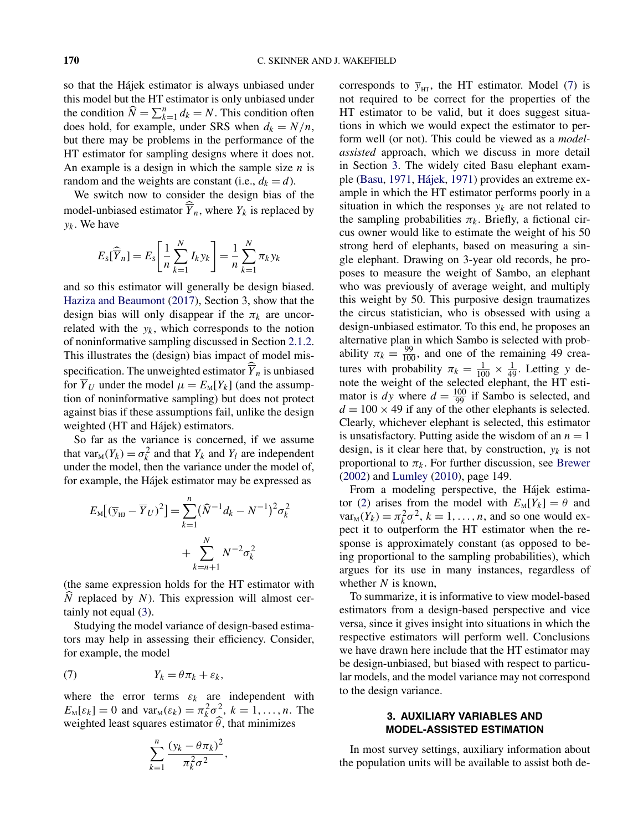<span id="page-5-0"></span>so that the Hájek estimator is always unbiased under this model but the HT estimator is only unbiased under the condition  $\widehat{N} = \sum_{k=1}^{n} d_k = N$ . This condition often does hold, for example, under SRS when  $d_k = N/n$ , but there may be problems in the performance of the HT estimator for sampling designs where it does not. An example is a design in which the sample size *n* is random and the weights are constant (i.e.,  $d_k = d$ ).

We switch now to consider the design bias of the model-unbiased estimator  $\widehat{Y}_n$ , where  $Y_k$  is replaced by *yk*. We have

$$
E_{\rm S}[\widehat{\overline{Y}}_n] = E_{\rm S} \left[ \frac{1}{n} \sum_{k=1}^N I_k y_k \right] = \frac{1}{n} \sum_{k=1}^N \pi_k y_k
$$

and so this estimator will generally be design biased. [Haziza and Beaumont](#page-10-0) [\(2017\)](#page-10-0), Section 3, show that the design bias will only disappear if the  $\pi_k$  are uncorrelated with the  $y_k$ , which corresponds to the notion of noninformative sampling discussed in Section [2.1.2.](#page-4-0) This illustrates the (design) bias impact of model misspecification. The unweighted estimator  $\overline{Y}_n$  is unbiased for  $\overline{Y}_U$  under the model  $\mu = E_M[Y_k]$  (and the assumption of noninformative sampling) but does not protect against bias if these assumptions fail, unlike the design weighted (HT and Hájek) estimators.

So far as the variance is concerned, if we assume that  $var_M(Y_k) = \sigma_k^2$  and that  $Y_k$  and  $Y_l$  are independent under the model, then the variance under the model of, for example, the Hájek estimator may be expressed as

$$
E_{\rm M}[(\overline{y}_{\rm HJ} - \overline{Y}_U)^2] = \sum_{k=1}^{n} (\widehat{N}^{-1}d_k - N^{-1})^2 \sigma_k^2 + \sum_{k=n+1}^{N} N^{-2} \sigma_k^2
$$

(the same expression holds for the HT estimator with *N* replaced by *N*). This expression will almost certainly not equal [\(3\)](#page-3-0).

Studying the model variance of design-based estimators may help in assessing their efficiency. Consider, for example, the model

$$
(7) \t Y_k = \theta \pi_k + \varepsilon_k,
$$

where the error terms  $\varepsilon_k$  are independent with  $E_M[\varepsilon_k] = 0$  and  $var_M(\varepsilon_k) = \pi_k^2 \sigma_2^2$ ,  $k = 1, \ldots, n$ . The weighted least squares estimator  $\hat{\theta}$ , that minimizes

$$
\sum_{k=1}^n \frac{(y_k - \theta \pi_k)^2}{\pi_k^2 \sigma^2},
$$

corresponds to  $\overline{y}_{\text{HT}}$ , the HT estimator. Model (7) is not required to be correct for the properties of the HT estimator to be valid, but it does suggest situations in which we would expect the estimator to perform well (or not). This could be viewed as a *modelassisted* approach, which we discuss in more detail in Section 3. The widely cited Basu elephant example [\(Basu,](#page-9-0) [1971,](#page-9-0) [Hájek,](#page-10-0) [1971\)](#page-10-0) provides an extreme example in which the HT estimator performs poorly in a situation in which the responses  $y_k$  are not related to the sampling probabilities  $\pi_k$ . Briefly, a fictional circus owner would like to estimate the weight of his 50 strong herd of elephants, based on measuring a single elephant. Drawing on 3-year old records, he proposes to measure the weight of Sambo, an elephant who was previously of average weight, and multiply this weight by 50. This purposive design traumatizes the circus statistician, who is obsessed with using a design-unbiased estimator. To this end, he proposes an alternative plan in which Sambo is selected with probability  $\pi_k = \frac{99}{100}$ , and one of the remaining 49 creatures with probability  $\pi_k = \frac{1}{100} \times \frac{1}{49}$ . Letting *y* denote the weight of the selected elephant, the HT estimator is *dy* where  $d = \frac{100}{99}$  if Sambo is selected, and  $d = 100 \times 49$  if any of the other elephants is selected. Clearly, whichever elephant is selected, this estimator is unsatisfactory. Putting aside the wisdom of an  $n = 1$ design, is it clear here that, by construction,  $y_k$  is not proportional to  $\pi_k$ . For further discussion, see [Brewer](#page-10-0) [\(2002\)](#page-10-0) and [Lumley](#page-10-0) [\(2010\)](#page-10-0), page 149.

From a modeling perspective, the Hájek estima-tor [\(2\)](#page-2-0) arises from the model with  $E_M[Y_k] = \theta$  and  $var<sub>M</sub>(Y<sub>k</sub>) = \pi<sub>k</sub><sup>2</sup> \sigma<sup>2</sup>$ ,  $k = 1, ..., n$ , and so one would expect it to outperform the HT estimator when the response is approximately constant (as opposed to being proportional to the sampling probabilities), which argues for its use in many instances, regardless of whether *N* is known,

To summarize, it is informative to view model-based estimators from a design-based perspective and vice versa, since it gives insight into situations in which the respective estimators will perform well. Conclusions we have drawn here include that the HT estimator may be design-unbiased, but biased with respect to particular models, and the model variance may not correspond to the design variance.

## **3. AUXILIARY VARIABLES AND MODEL-ASSISTED ESTIMATION**

In most survey settings, auxiliary information about the population units will be available to assist both de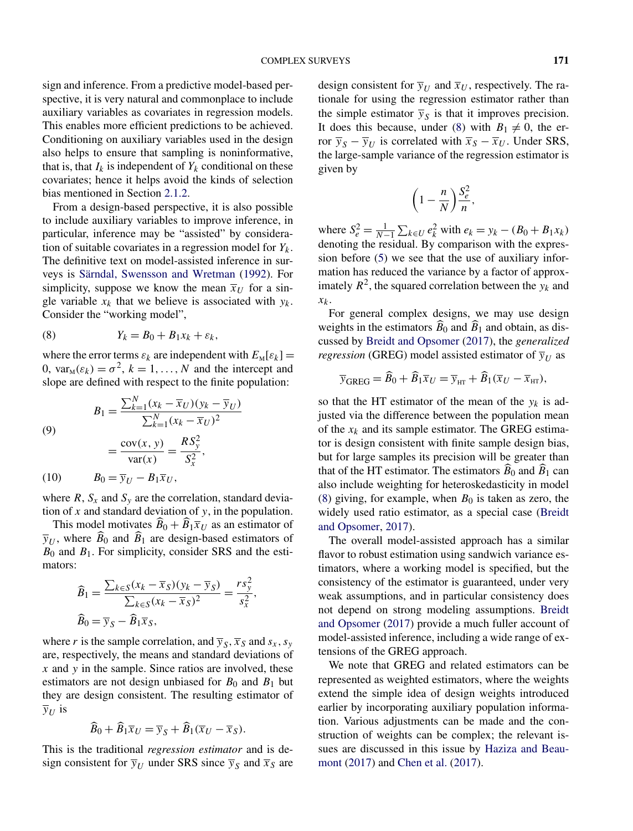sign and inference. From a predictive model-based perspective, it is very natural and commonplace to include auxiliary variables as covariates in regression models. This enables more efficient predictions to be achieved. Conditioning on auxiliary variables used in the design also helps to ensure that sampling is noninformative, that is, that  $I_k$  is independent of  $Y_k$  conditional on these covariates; hence it helps avoid the kinds of selection bias mentioned in Section [2.1.2.](#page-4-0)

From a design-based perspective, it is also possible to include auxiliary variables to improve inference, in particular, inference may be "assisted" by consideration of suitable covariates in a regression model for *Yk*. The definitive text on model-assisted inference in surveys is [Särndal, Swensson and Wretman](#page-10-0) [\(1992\)](#page-10-0). For simplicity, suppose we know the mean  $\overline{x}_U$  for a single variable  $x_k$  that we believe is associated with  $y_k$ . Consider the "working model",

$$
(8) \t Y_k = B_0 + B_1 x_k + \varepsilon_k,
$$

where the error terms  $\varepsilon_k$  are independent with  $E_M[\varepsilon_k] =$ 0,  $var_M(\varepsilon_k) = \sigma^2$ ,  $k = 1, ..., N$  and the intercept and slope are defined with respect to the finite population:

 $B_1 =$  $\sum_{k=1}^{N} (x_k - \overline{x}_U)(y_k - \overline{y}_U)$  $\sum_{k=1}^{N} (x_k - \overline{x}_U)^2$ (9)  $= \frac{\text{cov}(x, y)}{\text{var}(x)} = \frac{RS_y^2}{S_x^2}$ *S*2 *x ,* (10)  $B_0 = \overline{y}_U - B_1 \overline{x}_U$ ,

where  $R$ ,  $S_x$  and  $S_y$  are the correlation, standard deviation of *x* and standard deviation of *y*, in the population.

This model motivates  $B_0 + B_1 \overline{x}_U$  as an estimator of  $\overline{y}_U$ , where  $\overline{B}_0$  and  $\overline{B}_1$  are design-based estimators of *B*<sup>0</sup> and *B*1. For simplicity, consider SRS and the estimators:

$$
\widehat{B}_1 = \frac{\sum_{k \in S} (x_k - \overline{x}_S)(y_k - \overline{y}_S)}{\sum_{k \in S} (x_k - \overline{x}_S)^2} = \frac{rs_y^2}{s_x^2},
$$
  

$$
\widehat{B}_0 = \overline{y}_S - \widehat{B}_1 \overline{x}_S,
$$

where *r* is the sample correlation, and  $\overline{y}_S$ ,  $\overline{x}_S$  and  $s_x$ ,  $s_y$ are, respectively, the means and standard deviations of *x* and *y* in the sample. Since ratios are involved, these estimators are not design unbiased for  $B_0$  and  $B_1$  but they are design consistent. The resulting estimator of  $\overline{y}_U$  is

$$
\widehat{B}_0 + \widehat{B}_1 \overline{x}_U = \overline{y}_S + \widehat{B}_1 (\overline{x}_U - \overline{x}_S).
$$

This is the traditional *regression estimator* and is design consistent for  $\overline{y}_U$  under SRS since  $\overline{y}_S$  and  $\overline{x}_S$  are design consistent for  $\overline{y}_U$  and  $\overline{x}_U$ , respectively. The rationale for using the regression estimator rather than the simple estimator  $\overline{y}_s$  is that it improves precision. It does this because, under (8) with  $B_1 \neq 0$ , the error  $\overline{y}_S - \overline{y}_U$  is correlated with  $\overline{x}_S - \overline{x}_U$ . Under SRS, the large-sample variance of the regression estimator is given by

$$
\left(1-\frac{n}{N}\right)\frac{S_e^2}{n},
$$

where  $S_e^2 = \frac{1}{N-1} \sum_{k \in U} e_k^2$  with  $e_k = y_k - (B_0 + B_1 x_k)$ denoting the residual. By comparison with the expression before [\(5\)](#page-3-0) we see that the use of auxiliary information has reduced the variance by a factor of approximately  $R^2$ , the squared correlation between the  $y_k$  and *xk*.

For general complex designs, we may use design weights in the estimators  $B_0$  and  $B_1$  and obtain, as discussed by [Breidt and Opsomer](#page-10-0) [\(2017\)](#page-10-0), the *generalized regression* (GREG) model assisted estimator of  $\overline{y}_U$  as

$$
\overline{y}_{\text{GREG}} = \widehat{B}_0 + \widehat{B}_1 \overline{x}_U = \overline{y}_{\text{HT}} + \widehat{B}_1 (\overline{x}_U - \overline{x}_{\text{HT}}),
$$

so that the HT estimator of the mean of the  $y_k$  is adjusted via the difference between the population mean of the  $x_k$  and its sample estimator. The GREG estimator is design consistent with finite sample design bias, but for large samples its precision will be greater than that of the HT estimator. The estimators  $\tilde{B}_0$  and  $\tilde{B}_1$  can also include weighting for heteroskedasticity in model (8) giving, for example, when  $B_0$  is taken as zero, the widely used ratio estimator, as a special case [\(Breidt](#page-10-0) [and Opsomer,](#page-10-0) [2017\)](#page-10-0).

The overall model-assisted approach has a similar flavor to robust estimation using sandwich variance estimators, where a working model is specified, but the consistency of the estimator is guaranteed, under very weak assumptions, and in particular consistency does not depend on strong modeling assumptions. [Breidt](#page-10-0) [and Opsomer](#page-10-0) [\(2017\)](#page-10-0) provide a much fuller account of model-assisted inference, including a wide range of extensions of the GREG approach.

We note that GREG and related estimators can be represented as weighted estimators, where the weights extend the simple idea of design weights introduced earlier by incorporating auxiliary population information. Various adjustments can be made and the construction of weights can be complex; the relevant issues are discussed in this issue by [Haziza and Beau](#page-10-0)[mont](#page-10-0) [\(2017\)](#page-10-0) and [Chen et al.](#page-10-0) [\(2017\)](#page-10-0).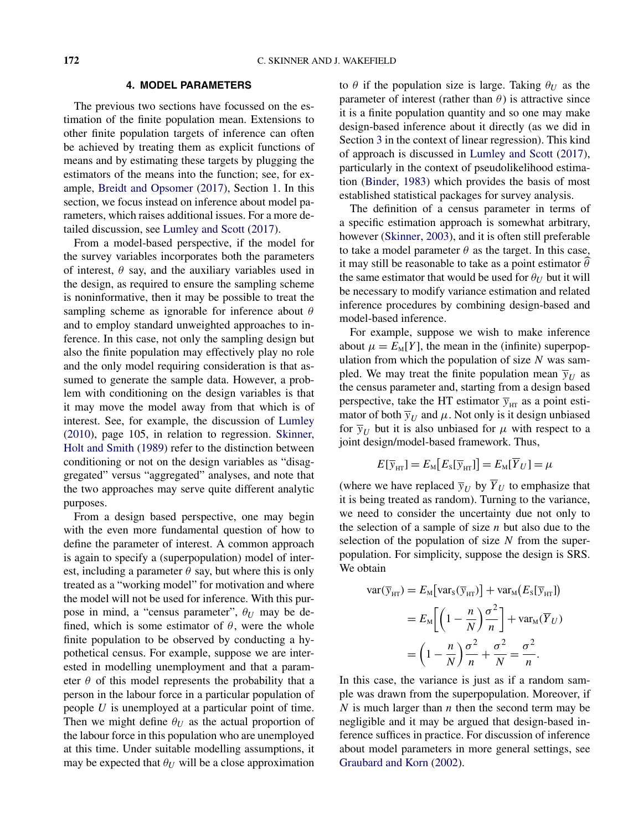#### **4. MODEL PARAMETERS**

<span id="page-7-0"></span>The previous two sections have focussed on the estimation of the finite population mean. Extensions to other finite population targets of inference can often be achieved by treating them as explicit functions of means and by estimating these targets by plugging the estimators of the means into the function; see, for example, [Breidt and Opsomer](#page-10-0) [\(2017\)](#page-10-0), Section 1. In this section, we focus instead on inference about model parameters, which raises additional issues. For a more detailed discussion, see [Lumley and Scott](#page-10-0) [\(2017\)](#page-10-0).

From a model-based perspective, if the model for the survey variables incorporates both the parameters of interest,  $\theta$  say, and the auxiliary variables used in the design, as required to ensure the sampling scheme is noninformative, then it may be possible to treat the sampling scheme as ignorable for inference about *θ* and to employ standard unweighted approaches to inference. In this case, not only the sampling design but also the finite population may effectively play no role and the only model requiring consideration is that assumed to generate the sample data. However, a problem with conditioning on the design variables is that it may move the model away from that which is of interest. See, for example, the discussion of [Lumley](#page-10-0) [\(2010\)](#page-10-0), page 105, in relation to regression. [Skinner,](#page-10-0) [Holt and Smith](#page-10-0) [\(1989\)](#page-10-0) refer to the distinction between conditioning or not on the design variables as "disaggregated" versus "aggregated" analyses, and note that the two approaches may serve quite different analytic purposes.

From a design based perspective, one may begin with the even more fundamental question of how to define the parameter of interest. A common approach is again to specify a (superpopulation) model of interest, including a parameter  $\theta$  say, but where this is only treated as a "working model" for motivation and where the model will not be used for inference. With this purpose in mind, a "census parameter",  $\theta_U$  may be defined, which is some estimator of  $\theta$ , were the whole finite population to be observed by conducting a hypothetical census. For example, suppose we are interested in modelling unemployment and that a parameter  $\theta$  of this model represents the probability that a person in the labour force in a particular population of people *U* is unemployed at a particular point of time. Then we might define  $\theta_U$  as the actual proportion of the labour force in this population who are unemployed at this time. Under suitable modelling assumptions, it may be expected that  $\theta_U$  will be a close approximation

to  $\theta$  if the population size is large. Taking  $\theta_U$  as the parameter of interest (rather than  $\theta$ ) is attractive since it is a finite population quantity and so one may make design-based inference about it directly (as we did in Section [3](#page-5-0) in the context of linear regression). This kind of approach is discussed in [Lumley and Scott](#page-10-0) [\(2017\)](#page-10-0), particularly in the context of pseudolikelihood estimation [\(Binder,](#page-10-0) [1983\)](#page-10-0) which provides the basis of most established statistical packages for survey analysis.

The definition of a census parameter in terms of a specific estimation approach is somewhat arbitrary, however [\(Skinner,](#page-10-0) [2003\)](#page-10-0), and it is often still preferable to take a model parameter  $\theta$  as the target. In this case, it may still be reasonable to take as a point estimator *θ* the same estimator that would be used for  $\theta_U$  but it will be necessary to modify variance estimation and related inference procedures by combining design-based and model-based inference.

For example, suppose we wish to make inference about  $\mu = E_M[Y]$ , the mean in the (infinite) superpopulation from which the population of size *N* was sampled. We may treat the finite population mean  $\overline{y}_U$  as the census parameter and, starting from a design based perspective, take the HT estimator  $\overline{y}_{\text{HT}}$  as a point estimator of both  $\overline{y}_U$  and  $\mu$ . Not only is it design unbiased for  $\overline{y}_U$  but it is also unbiased for  $\mu$  with respect to a joint design/model-based framework. Thus,

$$
E[\overline{y}_{\text{HT}}] = E_{\text{M}}[E_{\text{S}}[\overline{y}_{\text{HT}}]] = E_{\text{M}}[\overline{Y}_{U}] = \mu
$$

(where we have replaced  $\overline{y}_U$  by  $\overline{Y}_U$  to emphasize that it is being treated as random). Turning to the variance, we need to consider the uncertainty due not only to the selection of a sample of size *n* but also due to the selection of the population of size *N* from the superpopulation. For simplicity, suppose the design is SRS. We obtain

$$
\begin{aligned} \text{var}(\overline{\mathbf{y}}_{\text{HT}}) &= E_{\text{M}}[\text{var}_{\text{S}}(\overline{\mathbf{y}}_{\text{HT}})] + \text{var}_{\text{M}}(E_{\text{S}}[\overline{\mathbf{y}}_{\text{HT}}]) \\ &= E_{\text{M}}\left[\left(1 - \frac{n}{N}\right)\frac{\sigma^2}{n}\right] + \text{var}_{\text{M}}(\overline{Y}_{U}) \\ &= \left(1 - \frac{n}{N}\right)\frac{\sigma^2}{n} + \frac{\sigma^2}{N} = \frac{\sigma^2}{n} .\end{aligned}
$$

In this case, the variance is just as if a random sample was drawn from the superpopulation. Moreover, if *N* is much larger than *n* then the second term may be negligible and it may be argued that design-based inference suffices in practice. For discussion of inference about model parameters in more general settings, see [Graubard and Korn](#page-10-0) [\(2002\)](#page-10-0).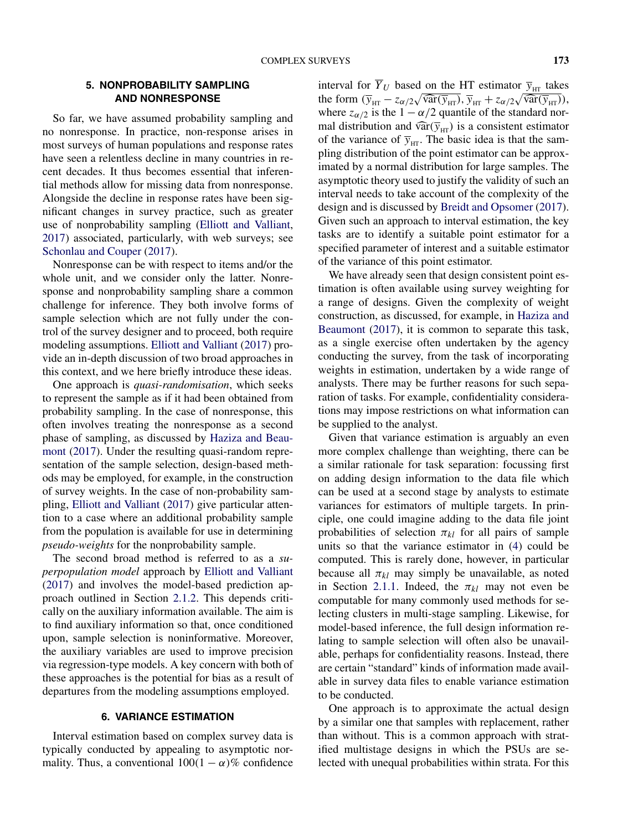# <span id="page-8-0"></span>**5. NONPROBABILITY SAMPLING AND NONRESPONSE**

So far, we have assumed probability sampling and no nonresponse. In practice, non-response arises in most surveys of human populations and response rates have seen a relentless decline in many countries in recent decades. It thus becomes essential that inferential methods allow for missing data from nonresponse. Alongside the decline in response rates have been significant changes in survey practice, such as greater use of nonprobability sampling [\(Elliott and Valliant,](#page-10-0) [2017\)](#page-10-0) associated, particularly, with web surveys; see [Schonlau and Couper](#page-10-0) [\(2017\)](#page-10-0).

Nonresponse can be with respect to items and/or the whole unit, and we consider only the latter. Nonresponse and nonprobability sampling share a common challenge for inference. They both involve forms of sample selection which are not fully under the control of the survey designer and to proceed, both require modeling assumptions. [Elliott and Valliant](#page-10-0) [\(2017\)](#page-10-0) provide an in-depth discussion of two broad approaches in this context, and we here briefly introduce these ideas.

One approach is *quasi-randomisation*, which seeks to represent the sample as if it had been obtained from probability sampling. In the case of nonresponse, this often involves treating the nonresponse as a second phase of sampling, as discussed by [Haziza and Beau](#page-10-0)[mont](#page-10-0) [\(2017\)](#page-10-0). Under the resulting quasi-random representation of the sample selection, design-based methods may be employed, for example, in the construction of survey weights. In the case of non-probability sampling, [Elliott and Valliant](#page-10-0) [\(2017\)](#page-10-0) give particular attention to a case where an additional probability sample from the population is available for use in determining *pseudo-weights* for the nonprobability sample.

The second broad method is referred to as a *superpopulation model* approach by [Elliott and Valliant](#page-10-0) [\(2017\)](#page-10-0) and involves the model-based prediction approach outlined in Section [2.1.2.](#page-4-0) This depends critically on the auxiliary information available. The aim is to find auxiliary information so that, once conditioned upon, sample selection is noninformative. Moreover, the auxiliary variables are used to improve precision via regression-type models. A key concern with both of these approaches is the potential for bias as a result of departures from the modeling assumptions employed.

#### **6. VARIANCE ESTIMATION**

Interval estimation based on complex survey data is typically conducted by appealing to asymptotic normality. Thus, a conventional  $100(1 - \alpha)\%$  confidence

interval for  $\overline{Y}_U$  based on the HT estimator  $\overline{y}_{\text{HT}}$  takes the form  $(\overline{y}_{HT} - z_{\alpha/2}\sqrt{\widehat{var}(\overline{y}_{HT})}, \overline{y}_{HT} + z_{\alpha/2}\sqrt{\widehat{var}(\overline{y}_{HT})}),$ where  $z_{\alpha/2}$  is the  $1 - \alpha/2$  quantile of the standard normal distribution and  $\widehat{\text{var}}(\overline{y}_{\text{HT}})$  is a consistent estimator of the variance of  $\overline{y}_{\text{HT}}$ . The basic idea is that the sampling distribution of the point estimator can be approximated by a normal distribution for large samples. The asymptotic theory used to justify the validity of such an interval needs to take account of the complexity of the design and is discussed by [Breidt and Opsomer](#page-10-0) [\(2017\)](#page-10-0). Given such an approach to interval estimation, the key tasks are to identify a suitable point estimator for a specified parameter of interest and a suitable estimator of the variance of this point estimator.

We have already seen that design consistent point estimation is often available using survey weighting for a range of designs. Given the complexity of weight construction, as discussed, for example, in [Haziza and](#page-10-0) [Beaumont](#page-10-0) [\(2017\)](#page-10-0), it is common to separate this task, as a single exercise often undertaken by the agency conducting the survey, from the task of incorporating weights in estimation, undertaken by a wide range of analysts. There may be further reasons for such separation of tasks. For example, confidentiality considerations may impose restrictions on what information can be supplied to the analyst.

Given that variance estimation is arguably an even more complex challenge than weighting, there can be a similar rationale for task separation: focussing first on adding design information to the data file which can be used at a second stage by analysts to estimate variances for estimators of multiple targets. In principle, one could imagine adding to the data file joint probabilities of selection  $\pi_{kl}$  for all pairs of sample units so that the variance estimator in [\(4\)](#page-3-0) could be computed. This is rarely done, however, in particular because all  $\pi_{kl}$  may simply be unavailable, as noted in Section [2.1.1.](#page-2-0) Indeed, the  $\pi_{kl}$  may not even be computable for many commonly used methods for selecting clusters in multi-stage sampling. Likewise, for model-based inference, the full design information relating to sample selection will often also be unavailable, perhaps for confidentiality reasons. Instead, there are certain "standard" kinds of information made available in survey data files to enable variance estimation to be conducted.

One approach is to approximate the actual design by a similar one that samples with replacement, rather than without. This is a common approach with stratified multistage designs in which the PSUs are selected with unequal probabilities within strata. For this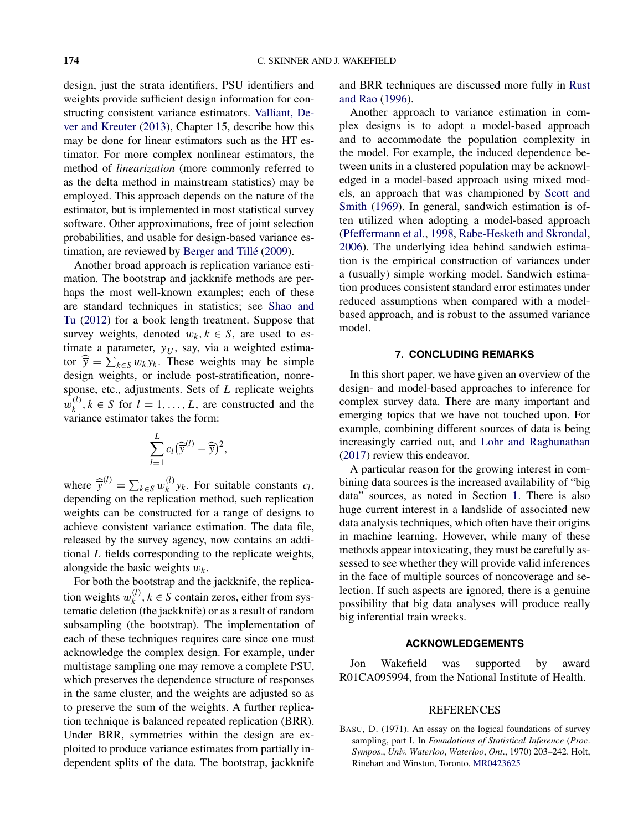<span id="page-9-0"></span>design, just the strata identifiers, PSU identifiers and weights provide sufficient design information for constructing consistent variance estimators. [Valliant, De](#page-10-0)[ver and Kreuter](#page-10-0) [\(2013\)](#page-10-0), Chapter 15, describe how this may be done for linear estimators such as the HT estimator. For more complex nonlinear estimators, the method of *linearization* (more commonly referred to as the delta method in mainstream statistics) may be employed. This approach depends on the nature of the estimator, but is implemented in most statistical survey software. Other approximations, free of joint selection probabilities, and usable for design-based variance estimation, are reviewed by [Berger and Tillé](#page-10-0) [\(2009\)](#page-10-0).

Another broad approach is replication variance estimation. The bootstrap and jackknife methods are perhaps the most well-known examples; each of these are standard techniques in statistics; see [Shao and](#page-10-0) [Tu](#page-10-0) [\(2012\)](#page-10-0) for a book length treatment. Suppose that survey weights, denoted  $w_k, k \in S$ , are used to estimate a parameter,  $\overline{y}_U$ , say, via a weighted estimator  $\hat{\overline{y}} = \sum_{k \in S} w_k y_k$ . These weights may be simple design weights, or include post-stratification, nonresponse, etc., adjustments. Sets of *L* replicate weights  $w_k^{(l)}$ ,  $k \in S$  for  $l = 1, ..., L$ , are constructed and the variance estimator takes the form:

$$
\sum_{l=1}^{L} c_l (\widehat{\overline{y}}^{(l)} - \widehat{\overline{y}})^2,
$$

where  $\hat{\overline{y}}^{(l)} = \sum_{k \in S} w_k^{(l)} y_k$ . For suitable constants *c<sub>l</sub>*, depending on the replication method, such replication weights can be constructed for a range of designs to achieve consistent variance estimation. The data file, released by the survey agency, now contains an additional *L* fields corresponding to the replicate weights, alongside the basic weights *wk*.

For both the bootstrap and the jackknife, the replication weights  $w_k^{(l)}$ ,  $k \in S$  contain zeros, either from systematic deletion (the jackknife) or as a result of random subsampling (the bootstrap). The implementation of each of these techniques requires care since one must acknowledge the complex design. For example, under multistage sampling one may remove a complete PSU, which preserves the dependence structure of responses in the same cluster, and the weights are adjusted so as to preserve the sum of the weights. A further replication technique is balanced repeated replication (BRR). Under BRR, symmetries within the design are exploited to produce variance estimates from partially independent splits of the data. The bootstrap, jackknife

and BRR techniques are discussed more fully in [Rust](#page-10-0) [and Rao](#page-10-0) [\(1996\)](#page-10-0).

Another approach to variance estimation in complex designs is to adopt a model-based approach and to accommodate the population complexity in the model. For example, the induced dependence between units in a clustered population may be acknowledged in a model-based approach using mixed models, an approach that was championed by [Scott and](#page-10-0) [Smith](#page-10-0) [\(1969\)](#page-10-0). In general, sandwich estimation is often utilized when adopting a model-based approach [\(Pfeffermann et al.,](#page-10-0) [1998,](#page-10-0) [Rabe-Hesketh and Skrondal,](#page-10-0) [2006\)](#page-10-0). The underlying idea behind sandwich estimation is the empirical construction of variances under a (usually) simple working model. Sandwich estimation produces consistent standard error estimates under reduced assumptions when compared with a modelbased approach, and is robust to the assumed variance model.

#### **7. CONCLUDING REMARKS**

In this short paper, we have given an overview of the design- and model-based approaches to inference for complex survey data. There are many important and emerging topics that we have not touched upon. For example, combining different sources of data is being increasingly carried out, and [Lohr and Raghunathan](#page-10-0) [\(2017\)](#page-10-0) review this endeavor.

A particular reason for the growing interest in combining data sources is the increased availability of "big data" sources, as noted in Section [1.](#page-0-0) There is also huge current interest in a landslide of associated new data analysis techniques, which often have their origins in machine learning. However, while many of these methods appear intoxicating, they must be carefully assessed to see whether they will provide valid inferences in the face of multiple sources of noncoverage and selection. If such aspects are ignored, there is a genuine possibility that big data analyses will produce really big inferential train wrecks.

## **ACKNOWLEDGEMENTS**

Jon Wakefield was supported by award R01CA095994, from the National Institute of Health.

## **REFERENCES**

BASU, D. (1971). An essay on the logical foundations of survey sampling, part I. In *Foundations of Statistical Inference* (*Proc*. *Sympos*., *Univ*. *Waterloo*, *Waterloo*, *Ont*., 1970) 203–242. Holt, Rinehart and Winston, Toronto. [MR0423625](http://www.ams.org/mathscinet-getitem?mr=0423625)